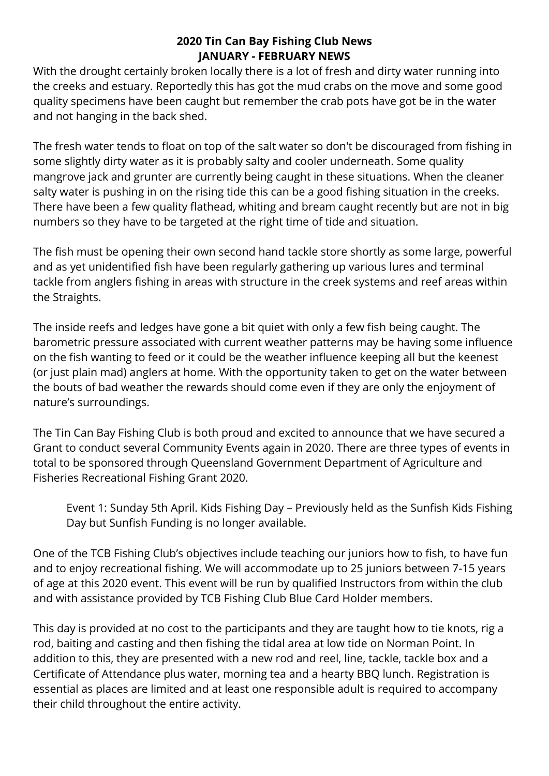## **2020 Tin Can Bay Fishing Club News JANUARY - FEBRUARY NEWS**

With the drought certainly broken locally there is a lot of fresh and dirty water running into the creeks and estuary. Reportedly this has got the mud crabs on the move and some good quality specimens have been caught but remember the crab pots have got be in the water and not hanging in the back shed.

The fresh water tends to float on top of the salt water so don't be discouraged from fishing in some slightly dirty water as it is probably salty and cooler underneath. Some quality mangrove jack and grunter are currently being caught in these situations. When the cleaner salty water is pushing in on the rising tide this can be a good fishing situation in the creeks. There have been a few quality flathead, whiting and bream caught recently but are not in big numbers so they have to be targeted at the right time of tide and situation.

The fish must be opening their own second hand tackle store shortly as some large, powerful and as yet unidentified fish have been regularly gathering up various lures and terminal tackle from anglers fishing in areas with structure in the creek systems and reef areas within the Straights.

The inside reefs and ledges have gone a bit quiet with only a few fish being caught. The barometric pressure associated with current weather patterns may be having some influence on the fish wanting to feed or it could be the weather influence keeping all but the keenest (or just plain mad) anglers at home. With the opportunity taken to get on the water between the bouts of bad weather the rewards should come even if they are only the enjoyment of nature's surroundings.

The Tin Can Bay Fishing Club is both proud and excited to announce that we have secured a Grant to conduct several Community Events again in 2020. There are three types of events in total to be sponsored through Queensland Government Department of Agriculture and Fisheries Recreational Fishing Grant 2020.

Event 1: Sunday 5th April. Kids Fishing Day – Previously held as the Sunfish Kids Fishing Day but Sunfish Funding is no longer available.

One of the TCB Fishing Club's objectives include teaching our juniors how to fish, to have fun and to enjoy recreational fishing. We will accommodate up to 25 juniors between 7-15 years of age at this 2020 event. This event will be run by qualified Instructors from within the club and with assistance provided by TCB Fishing Club Blue Card Holder members.

This day is provided at no cost to the participants and they are taught how to tie knots, rig a rod, baiting and casting and then fishing the tidal area at low tide on Norman Point. In addition to this, they are presented with a new rod and reel, line, tackle, tackle box and a Certificate of Attendance plus water, morning tea and a hearty BBQ lunch. Registration is essential as places are limited and at least one responsible adult is required to accompany their child throughout the entire activity.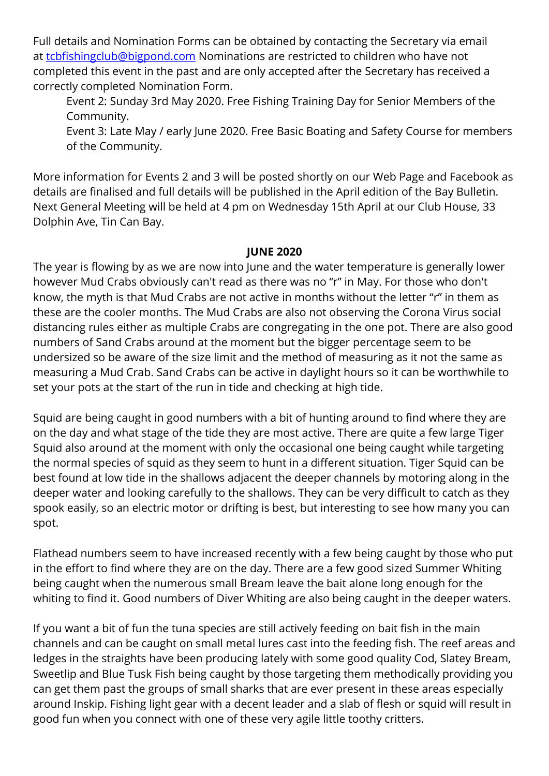Full details and Nomination Forms can be obtained by contacting the Secretary via email at [tcbfishingclub@bigpond.com](mailto:tcbfishingclub@bigpond.com) Nominations are restricted to children who have not completed this event in the past and are only accepted after the Secretary has received a correctly completed Nomination Form.

Event 2: Sunday 3rd May 2020. Free Fishing Training Day for Senior Members of the Community.

Event 3: Late May / early June 2020. Free Basic Boating and Safety Course for members of the Community.

More information for Events 2 and 3 will be posted shortly on our Web Page and Facebook as details are finalised and full details will be published in the April edition of the Bay Bulletin. Next General Meeting will be held at 4 pm on Wednesday 15th April at our Club House, 33 Dolphin Ave, Tin Can Bay.

### **JUNE 2020**

The year is flowing by as we are now into June and the water temperature is generally lower however Mud Crabs obviously can't read as there was no "r" in May. For those who don't know, the myth is that Mud Crabs are not active in months without the letter "r" in them as these are the cooler months. The Mud Crabs are also not observing the Corona Virus social distancing rules either as multiple Crabs are congregating in the one pot. There are also good numbers of Sand Crabs around at the moment but the bigger percentage seem to be undersized so be aware of the size limit and the method of measuring as it not the same as measuring a Mud Crab. Sand Crabs can be active in daylight hours so it can be worthwhile to set your pots at the start of the run in tide and checking at high tide.

Squid are being caught in good numbers with a bit of hunting around to find where they are on the day and what stage of the tide they are most active. There are quite a few large Tiger Squid also around at the moment with only the occasional one being caught while targeting the normal species of squid as they seem to hunt in a different situation. Tiger Squid can be best found at low tide in the shallows adjacent the deeper channels by motoring along in the deeper water and looking carefully to the shallows. They can be very difficult to catch as they spook easily, so an electric motor or drifting is best, but interesting to see how many you can spot.

Flathead numbers seem to have increased recently with a few being caught by those who put in the effort to find where they are on the day. There are a few good sized Summer Whiting being caught when the numerous small Bream leave the bait alone long enough for the whiting to find it. Good numbers of Diver Whiting are also being caught in the deeper waters.

If you want a bit of fun the tuna species are still actively feeding on bait fish in the main channels and can be caught on small metal lures cast into the feeding fish. The reef areas and ledges in the straights have been producing lately with some good quality Cod, Slatey Bream, Sweetlip and Blue Tusk Fish being caught by those targeting them methodically providing you can get them past the groups of small sharks that are ever present in these areas especially around Inskip. Fishing light gear with a decent leader and a slab of flesh or squid will result in good fun when you connect with one of these very agile little toothy critters.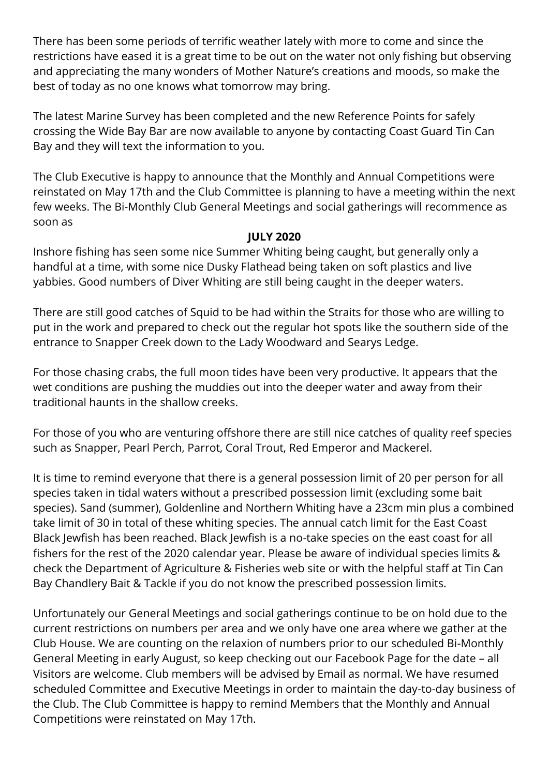There has been some periods of terrific weather lately with more to come and since the restrictions have eased it is a great time to be out on the water not only fishing but observing and appreciating the many wonders of Mother Nature's creations and moods, so make the best of today as no one knows what tomorrow may bring.

The latest Marine Survey has been completed and the new Reference Points for safely crossing the Wide Bay Bar are now available to anyone by contacting Coast Guard Tin Can Bay and they will text the information to you.

The Club Executive is happy to announce that the Monthly and Annual Competitions were reinstated on May 17th and the Club Committee is planning to have a meeting within the next few weeks. The Bi-Monthly Club General Meetings and social gatherings will recommence as soon as

### **JULY 2020**

Inshore fishing has seen some nice Summer Whiting being caught, but generally only a handful at a time, with some nice Dusky Flathead being taken on soft plastics and live yabbies. Good numbers of Diver Whiting are still being caught in the deeper waters.

There are still good catches of Squid to be had within the Straits for those who are willing to put in the work and prepared to check out the regular hot spots like the southern side of the entrance to Snapper Creek down to the Lady Woodward and Searys Ledge.

For those chasing crabs, the full moon tides have been very productive. It appears that the wet conditions are pushing the muddies out into the deeper water and away from their traditional haunts in the shallow creeks.

For those of you who are venturing offshore there are still nice catches of quality reef species such as Snapper, Pearl Perch, Parrot, Coral Trout, Red Emperor and Mackerel.

It is time to remind everyone that there is a general possession limit of 20 per person for all species taken in tidal waters without a prescribed possession limit (excluding some bait species). Sand (summer), Goldenline and Northern Whiting have a 23cm min plus a combined take limit of 30 in total of these whiting species. The annual catch limit for the East Coast Black Jewfish has been reached. Black Jewfish is a no-take species on the east coast for all fishers for the rest of the 2020 calendar year. Please be aware of individual species limits & check the Department of Agriculture & Fisheries web site or with the helpful staff at Tin Can Bay Chandlery Bait & Tackle if you do not know the prescribed possession limits.

Unfortunately our General Meetings and social gatherings continue to be on hold due to the current restrictions on numbers per area and we only have one area where we gather at the Club House. We are counting on the relaxion of numbers prior to our scheduled Bi-Monthly General Meeting in early August, so keep checking out our Facebook Page for the date – all Visitors are welcome. Club members will be advised by Email as normal. We have resumed scheduled Committee and Executive Meetings in order to maintain the day-to-day business of the Club. The Club Committee is happy to remind Members that the Monthly and Annual Competitions were reinstated on May 17th.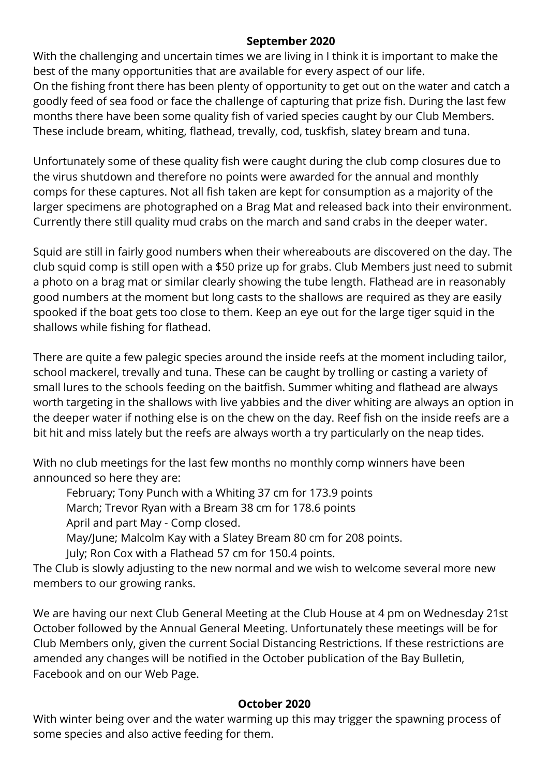### **September 2020**

With the challenging and uncertain times we are living in I think it is important to make the best of the many opportunities that are available for every aspect of our life. On the fishing front there has been plenty of opportunity to get out on the water and catch a goodly feed of sea food or face the challenge of capturing that prize fish. During the last few months there have been some quality fish of varied species caught by our Club Members. These include bream, whiting, flathead, trevally, cod, tuskfish, slatey bream and tuna.

Unfortunately some of these quality fish were caught during the club comp closures due to the virus shutdown and therefore no points were awarded for the annual and monthly comps for these captures. Not all fish taken are kept for consumption as a majority of the larger specimens are photographed on a Brag Mat and released back into their environment. Currently there still quality mud crabs on the march and sand crabs in the deeper water.

Squid are still in fairly good numbers when their whereabouts are discovered on the day. The club squid comp is still open with a \$50 prize up for grabs. Club Members just need to submit a photo on a brag mat or similar clearly showing the tube length. Flathead are in reasonably good numbers at the moment but long casts to the shallows are required as they are easily spooked if the boat gets too close to them. Keep an eye out for the large tiger squid in the shallows while fishing for flathead.

There are quite a few palegic species around the inside reefs at the moment including tailor, school mackerel, trevally and tuna. These can be caught by trolling or casting a variety of small lures to the schools feeding on the baitfish. Summer whiting and flathead are always worth targeting in the shallows with live yabbies and the diver whiting are always an option in the deeper water if nothing else is on the chew on the day. Reef fish on the inside reefs are a bit hit and miss lately but the reefs are always worth a try particularly on the neap tides.

With no club meetings for the last few months no monthly comp winners have been announced so here they are:

February; Tony Punch with a Whiting 37 cm for 173.9 points March; Trevor Ryan with a Bream 38 cm for 178.6 points April and part May - Comp closed.

May/June; Malcolm Kay with a Slatey Bream 80 cm for 208 points.

July; Ron Cox with a Flathead 57 cm for 150.4 points.

The Club is slowly adjusting to the new normal and we wish to welcome several more new members to our growing ranks.

We are having our next Club General Meeting at the Club House at 4 pm on Wednesday 21st October followed by the Annual General Meeting. Unfortunately these meetings will be for Club Members only, given the current Social Distancing Restrictions. If these restrictions are amended any changes will be notified in the October publication of the Bay Bulletin, Facebook and on our Web Page.

## **October 2020**

With winter being over and the water warming up this may trigger the spawning process of some species and also active feeding for them.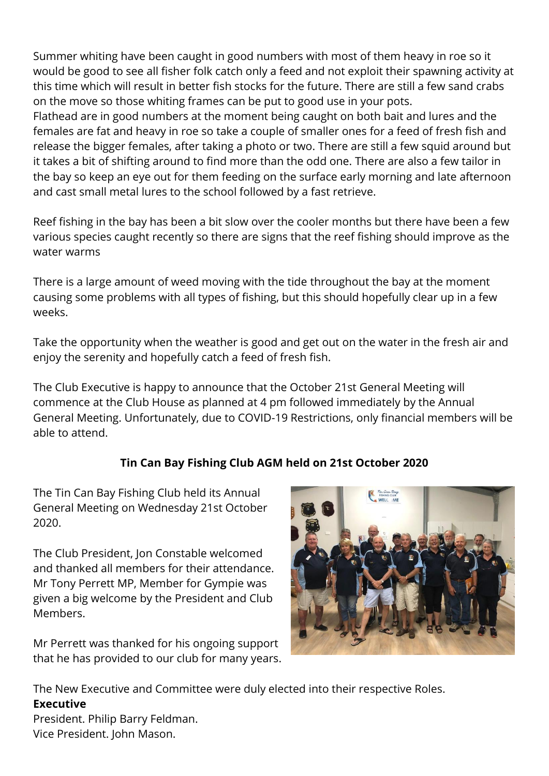Summer whiting have been caught in good numbers with most of them heavy in roe so it would be good to see all fisher folk catch only a feed and not exploit their spawning activity at this time which will result in better fish stocks for the future. There are still a few sand crabs on the move so those whiting frames can be put to good use in your pots.

Flathead are in good numbers at the moment being caught on both bait and lures and the females are fat and heavy in roe so take a couple of smaller ones for a feed of fresh fish and release the bigger females, after taking a photo or two. There are still a few squid around but it takes a bit of shifting around to find more than the odd one. There are also a few tailor in the bay so keep an eye out for them feeding on the surface early morning and late afternoon and cast small metal lures to the school followed by a fast retrieve.

Reef fishing in the bay has been a bit slow over the cooler months but there have been a few various species caught recently so there are signs that the reef fishing should improve as the water warms

There is a large amount of weed moving with the tide throughout the bay at the moment causing some problems with all types of fishing, but this should hopefully clear up in a few weeks.

Take the opportunity when the weather is good and get out on the water in the fresh air and enjoy the serenity and hopefully catch a feed of fresh fish.

The Club Executive is happy to announce that the October 21st General Meeting will commence at the Club House as planned at 4 pm followed immediately by the Annual General Meeting. Unfortunately, due to COVID-19 Restrictions, only financial members will be able to attend.

# **Tin Can Bay Fishing Club AGM held on 21st October 2020**

The Tin Can Bay Fishing Club held its Annual General Meeting on Wednesday 21st October 2020.

The Club President, Jon Constable welcomed and thanked all members for their attendance. Mr Tony Perrett MP, Member for Gympie was given a big welcome by the President and Club Members.

Mr Perrett was thanked for his ongoing support that he has provided to our club for many years.



The New Executive and Committee were duly elected into their respective Roles. **Executive**

President. Philip Barry Feldman. Vice President. John Mason.